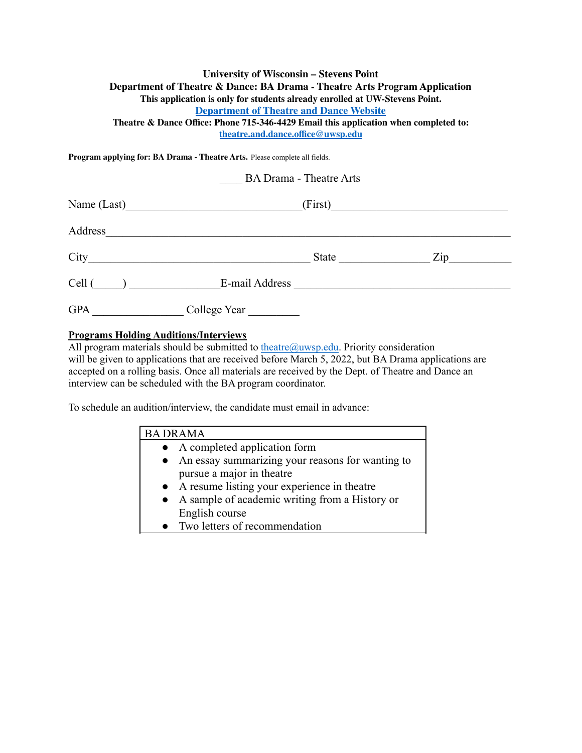### **University of Wisconsin - Stevens Point** Department of Theatre & Dance: BA Drama - Theatre Arts Program Application This application is only for students already enrolled at UW-Stevens Point. **Department of Theatre and Dance Website** Theatre & Dance Office: Phone 715-346-4429 Email this application when completed to:

theatre.and.dance.office@uwsp.edu

Program applying for: BA Drama - Theatre Arts. Please complete all fields.

|            |              | <b>BA Drama - Theatre Arts</b> |                  |
|------------|--------------|--------------------------------|------------------|
|            |              |                                |                  |
| Address    |              |                                |                  |
|            |              |                                | $\overline{Lip}$ |
|            |              |                                |                  |
| <b>GPA</b> | College Year |                                |                  |

#### **Programs Holding Auditions/Interviews**

All program materials should be submitted to theatre@uwsp.edu. Priority consideration will be given to applications that are received before March 5, 2022, but BA Drama applications are accepted on a rolling basis. Once all materials are received by the Dept. of Theatre and Dance an interview can be scheduled with the BA program coordinator.

To schedule an audition/interview, the candidate must email in advance:

| <b>BA DRAMA</b>                                    |  |
|----------------------------------------------------|--|
| • A completed application form                     |  |
| • An essay summarizing your reasons for wanting to |  |
| pursue a major in theatre                          |  |
| • A resume listing your experience in the atre     |  |
| • A sample of academic writing from a History or   |  |
| English course                                     |  |
| • Two letters of recommendation                    |  |